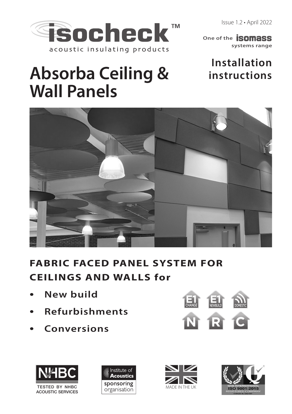Issue 1.2 • April 2022



**systems range One of the SOMASS** 

# **Installation instructions**

# **Absorba Ceiling & Wall Panels**



# **FABRIC FACED PANEL SYSTEM FOR CEILINGS AND WALLS for**

- **New build**
- **Refurbishments**
- 









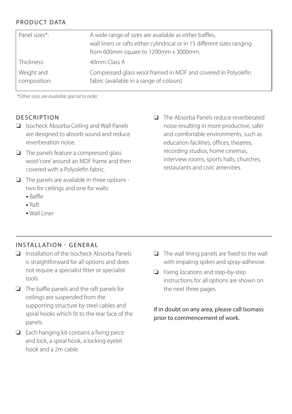# PRODUCT DATA

| Panel sizes*:              | A wide range of sizes are available as either baffles,<br>wall liners or rafts either cylindrical or in 15 different sizes ranging<br>from 600mm square to 1200mm x 3000mm. |
|----------------------------|-----------------------------------------------------------------------------------------------------------------------------------------------------------------------------|
| Thickness:                 | 40mm Class A                                                                                                                                                                |
| Weight and<br>composition: | Compressed glass wool framed in MDF and covered in Polyolefin<br>fabric (available in a range of colours)                                                                   |

\*Other sizes are available special to order.

#### **DESCRIPTION**

- ❏ Isocheck Absorba Ceiling and Wall Panels are designed to absorb sound and reduce reverberation noise.
- ❏ The panels feature a compressed glass wool 'core' around an MDF frame and then covered with a Polyolefin fabric.
- ❏ The panels are available in three options two for ceilings and one for walls:
	- Baffle
	- Raft
	- Wall Liner

❏ The Absorba Panels reduce reverberated noise resulting in more productive, safer and comfortable environments, such as education facilities, offices, theatres, recording studios, home cinemas, interview rooms, sports halls, churches, restaurants and civic amenities.

#### INSTALLATION - GENERAL

- ❏ Installation of the Isocheck Absorba Panels is straightforward for all options and does not require a specialist fitter or specialist tools.
- ❏ The baffle panels and the raft panels for ceilings are suspended from the supporting structure by steel cables and spiral hooks which fit to the rear face of the panels.
- ❏ Each hanging kit contains a fixing piece and lock, a spiral hook, a locking eyelet hook and a 2m cable.
- ❏ The wall lining panels are fixed to the wall with impaling spikes and spray-adhesive.
- ❏ Fixing locations and step-by-step instructions for all options are shown on the next three pages.

If in doubt on any area, please call Isomass prior to commencement of work.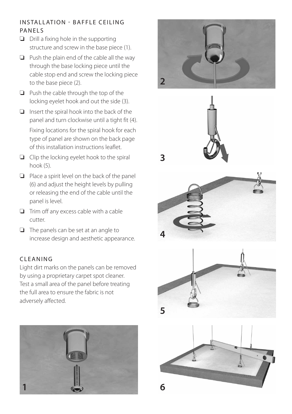## INSTALLATION - BAFFLE CEILING PANELS

- ❏ Drill a fixing hole in the supporting structure and screw in the base piece (1).
- ❏ Push the plain end of the cable all the way through the base locking piece until the cable stop end and screw the locking piece to the base piece (2).
- ❏ Push the cable through the top of the locking eyelet hook and out the side (3).
- ❏ Insert the spiral hook into the back of the panel and turn clockwise until a tight fit (4). Fixing locations for the spiral hook for each type of panel are shown on the back page of this installation instructions leaflet.
- ❏ Clip the locking eyelet hook to the spiral hook (5).
- ❏ Place a spirit level on the back of the panel (6) and adjust the height levels by pulling or releasing the end of the cable until the panel is level.
- ❏ Trim off any excess cable with a cable cutter.
- ❏ The panels can be set at an angle to increase design and aesthetic appearance.

## CLEANING

Light dirt marks on the panels can be removed by using a proprietary carpet spot cleaner. Test a small area of the panel before treating the full area to ensure the fabric is not adversely affected.







**3**





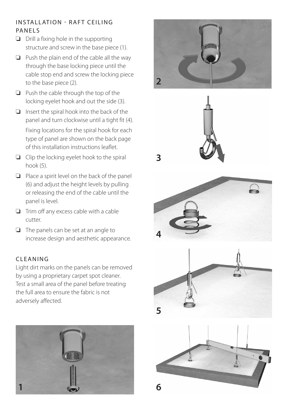## INSTALLATION - RAFT CEILING PANELS

- ❏ Drill a fixing hole in the supporting structure and screw in the base piece (1).
- ❏ Push the plain end of the cable all the way through the base locking piece until the cable stop end and screw the locking piece to the base piece (2).
- ❏ Push the cable through the top of the locking eyelet hook and out the side (3).
- ❏ Insert the spiral hook into the back of the panel and turn clockwise until a tight fit (4). Fixing locations for the spiral hook for each type of panel are shown on the back page of this installation instructions leaflet.
- ❏ Clip the locking eyelet hook to the spiral hook (5).
- ❏ Place a spirit level on the back of the panel (6) and adjust the height levels by pulling or releasing the end of the cable until the panel is level.
- ❏ Trim off any excess cable with a cable cutter.
- ❏ The panels can be set at an angle to increase design and aesthetic appearance.

#### **CLEANING**

Light dirt marks on the panels can be removed by using a proprietary carpet spot cleaner. Test a small area of the panel before treating the full area to ensure the fabric is not adversely affected.







**3**





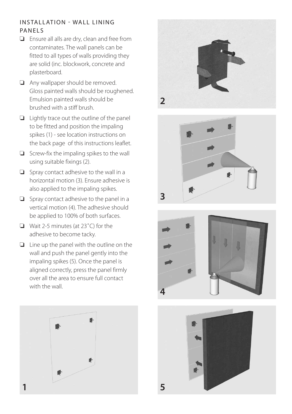### INSTALLATION - WALL LINING PANELS

- ❏ Ensure all alls are dry, clean and free from contaminates. The wall panels can be fitted to all types of walls providing they are solid (inc. blockwork, concrete and plasterboard.
- ❏ Any wallpaper should be removed. Gloss painted walls should be roughened. Emulsion painted walls should be brushed with a stiff brush.
- ❏ Lightly trace out the outline of the panel to be fitted and position the impaling spikes (1) - see location instructions on the back page of this instructions leaflet.
- ❏ Screw-fix the impaling spikes to the wall using suitable fixings (2).
- ❏ Spray contact adhesive to the wall in a horizontal motion (3). Ensure adhesive is also applied to the impaling spikes.
- ❏ Spray contact adhesive to the panel in a vertical motion (4). The adhesive should be applied to 100% of both surfaces.
- ❏ Wait 2-5 minutes (at 23˚C) for the adhesive to become tacky.
- ❏ Line up the panel with the outline on the wall and push the panel gently into the impaling spikes (5). Once the panel is aligned correctly, press the panel firmly over all the area to ensure full contact with the wall.